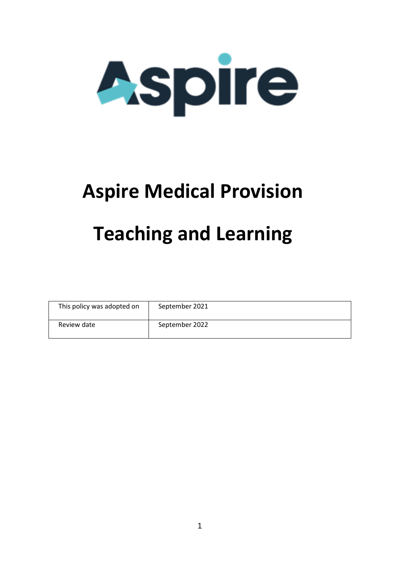

## **Aspire Medical Provision Teaching and Learning**

| This policy was adopted on | September 2021 |
|----------------------------|----------------|
| Review date                | September 2022 |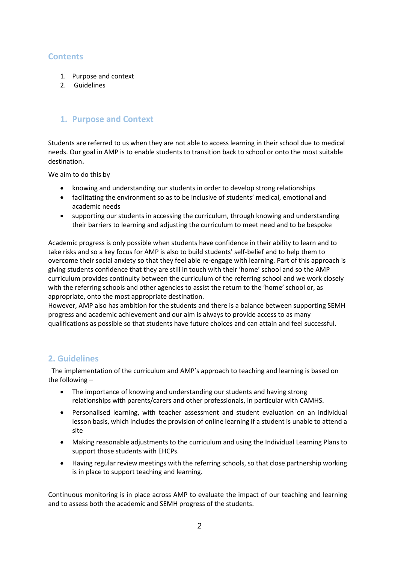## **Contents**

- 1. Purpose and context
- 2. Guidelines

## **1. Purpose and Context**

Students are referred to us when they are not able to access learning in their school due to medical needs. Our goal in AMP is to enable students to transition back to school or onto the most suitable destination.

We aim to do this by

- knowing and understanding our students in order to develop strong relationships
- facilitating the environment so as to be inclusive of students' medical, emotional and academic needs
- supporting our students in accessing the curriculum, through knowing and understanding their barriers to learning and adjusting the curriculum to meet need and to be bespoke

Academic progress is only possible when students have confidence in their ability to learn and to take risks and so a key focus for AMP is also to build students' self-belief and to help them to overcome their social anxiety so that they feel able re-engage with learning. Part of this approach is giving students confidence that they are still in touch with their 'home' school and so the AMP curriculum provides continuity between the curriculum of the referring school and we work closely with the referring schools and other agencies to assist the return to the 'home' school or, as appropriate, onto the most appropriate destination.

However, AMP also has ambition for the students and there is a balance between supporting SEMH progress and academic achievement and our aim is always to provide access to as many qualifications as possible so that students have future choices and can attain and feel successful.

## **2. Guidelines**

The implementation of the curriculum and AMP's approach to teaching and learning is based on the following –

- The importance of knowing and understanding our students and having strong relationships with parents/carers and other professionals, in particular with CAMHS.
- Personalised learning, with teacher assessment and student evaluation on an individual lesson basis, which includes the provision of online learning if a student is unable to attend a site
- Making reasonable adjustments to the curriculum and using the Individual Learning Plans to support those students with EHCPs.
- Having regular review meetings with the referring schools, so that close partnership working is in place to support teaching and learning.

Continuous monitoring is in place across AMP to evaluate the impact of our teaching and learning and to assess both the academic and SEMH progress of the students.